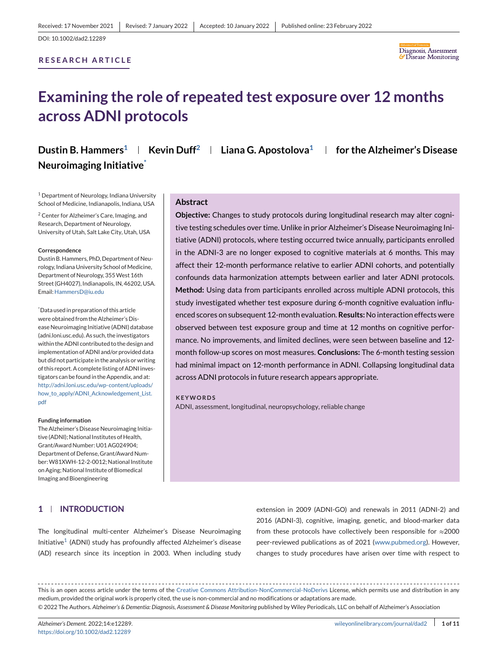## **RESEARCH ARTICLE**



# **Examining the role of repeated test exposure over 12 months across ADNI protocols**

**Dustin B. Hammers<sup>1</sup> | Kevin Duff<sup>2</sup> | Liana G. Apostolova<sup>1</sup> | for the Alzheimer's Disease Neuroimaging Initiative\***

<sup>1</sup> Department of Neurology, Indiana University School of Medicine, Indianapolis, Indiana, USA

<sup>2</sup> Center for Alzheimer's Care, Imaging, and Research, Department of Neurology, University of Utah, Salt Lake City, Utah, USA

#### **Correspondence**

Dustin B. Hammers, PhD, Department of Neurology, Indiana University School of Medicine, Department of Neurology, 355West 16th Street (GH4027), Indianapolis, IN, 46202, USA. Email[:HammersD@iu.edu](mailto:HammersD@iu.edu)

\* Data used in preparation of this article were obtained from the Alzheimer's Disease Neuroimaging Initiative (ADNI) database (adni.loni.usc.edu). As such, the investigators within the ADNI contributed to the design and implementation of ADNI and/or provided data but did not participate in the analysis or writing of this report. A complete listing of ADNI investigators can be found in the Appendix, and at: [http://adni.loni.usc.edu/wp-content/uploads/](http://adni.loni.usc.edu/wp-content/uploads/how_to_apply/ADNI_Acknowledgement_List.pdf) [how\\_to\\_apply/ADNI\\_Acknowledgement\\_List.](http://adni.loni.usc.edu/wp-content/uploads/how_to_apply/ADNI_Acknowledgement_List.pdf) [pdf](http://adni.loni.usc.edu/wp-content/uploads/how_to_apply/ADNI_Acknowledgement_List.pdf)

#### **Funding information**

The Alzheimer's Disease Neuroimaging Initiative (ADNI); National Institutes of Health, Grant/Award Number: U01 AG024904; Department of Defense, Grant/Award Number:W81XWH-12-2-0012; National Institute on Aging; National Institute of Biomedical Imaging and Bioengineering

## **1 INTRODUCTION**

### **Abstract**

**Objective:** Changes to study protocols during longitudinal research may alter cognitive testing schedules over time. Unlike in prior Alzheimer's Disease Neuroimaging Initiative (ADNI) protocols, where testing occurred twice annually, participants enrolled in the ADNI-3 are no longer exposed to cognitive materials at 6 months. This may affect their 12-month performance relative to earlier ADNI cohorts, and potentially confounds data harmonization attempts between earlier and later ADNI protocols. **Method:** Using data from participants enrolled across multiple ADNI protocols, this study investigated whether test exposure during 6-month cognitive evaluation influenced scores on subsequent 12-month evaluation.**Results:**No interaction effects were observed between test exposure group and time at 12 months on cognitive performance. No improvements, and limited declines, were seen between baseline and 12 month follow-up scores on most measures. **Conclusions:** The 6-month testing session had minimal impact on 12-month performance in ADNI. Collapsing longitudinal data across ADNI protocols in future research appears appropriate.

#### **KEYWORDS**

ADNI, assessment, longitudinal, neuropsychology, reliable change

The longitudinal multi-center Alzheimer's Disease Neuroimaging Initiative<sup>1</sup> (ADNI) study has profoundly affected Alzheimer's disease (AD) research since its inception in 2003. When including study

extension in 2009 (ADNI-GO) and renewals in 2011 (ADNI-2) and 2016 (ADNI-3), cognitive, imaging, genetic, and blood-marker data from these protocols have collectively been responsible for ≈2000 peer-reviewed publications as of 2021 [\(www.pubmed.org\)](http://www.pubmed.org). However, changes to study procedures have arisen over time with respect to

This is an open access article under the terms of the [Creative Commons Attribution-NonCommercial-NoDerivs](http://creativecommons.org/licenses/by-nc-nd/4.0/) License, which permits use and distribution in any medium, provided the original work is properly cited, the use is non-commercial and no modifications or adaptations are made. © 2022 The Authors. *Alzheimer's & Dementia: Diagnosis, Assessment & Disease Monitoring* published by Wiley Periodicals, LLC on behalf of Alzheimer's Association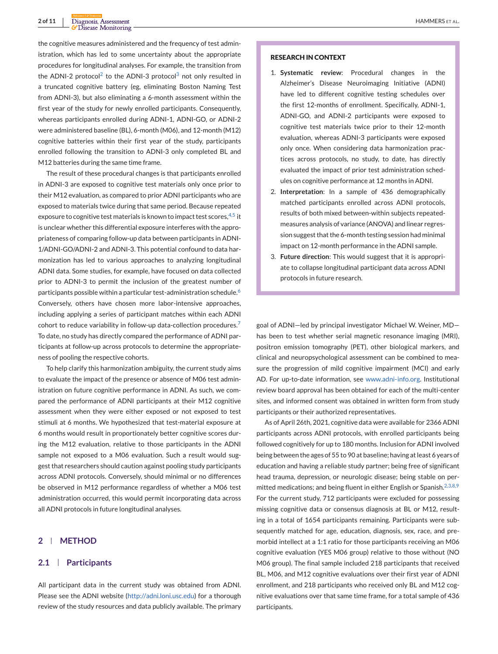the cognitive measures administered and the frequency of test administration, which has led to some uncertainty about the appropriate procedures for longitudinal analyses. For example, the transition from the ADNI-[2](#page-7-0) protocol<sup>2</sup> to the ADNI-[3](#page-7-0) protocol<sup>3</sup> not only resulted in a truncated cognitive battery (eg, eliminating Boston Naming Test from ADNI-3), but also eliminating a 6-month assessment within the first year of the study for newly enrolled participants. Consequently, whereas participants enrolled during ADNI-1, ADNI-GO, or ADNI-2 were administered baseline (BL), 6-month (M06), and 12-month (M12) cognitive batteries within their first year of the study, participants enrolled following the transition to ADNI-3 only completed BL and M12 batteries during the same time frame.

The result of these procedural changes is that participants enrolled in ADNI-3 are exposed to cognitive test materials only once prior to their M12 evaluation, as compared to prior ADNI participants who are exposed to materials twice during that same period. Because repeated exposure to cognitive test materials is known to impact test scores,  $4,5$  it is unclear whether this differential exposure interferes with the appropriateness of comparing follow-up data between participants in ADNI-1/ADNI-GO/ADNI-2 and ADNI-3. This potential confound to data harmonization has led to various approaches to analyzing longitudinal ADNI data. Some studies, for example, have focused on data collected prior to ADNI-3 to permit the inclusion of the greatest number of participants possible within a particular test-administration schedule.<sup>[6](#page-7-0)</sup> Conversely, others have chosen more labor-intensive approaches, including applying a series of participant matches within each ADNI cohort to reduce variability in follow-up data-collection procedures.<sup>[7](#page-7-0)</sup> To date, no study has directly compared the performance of ADNI participants at follow-up across protocols to determine the appropriateness of pooling the respective cohorts.

To help clarify this harmonization ambiguity, the current study aims to evaluate the impact of the presence or absence of M06 test administration on future cognitive performance in ADNI. As such, we compared the performance of ADNI participants at their M12 cognitive assessment when they were either exposed or not exposed to test stimuli at 6 months. We hypothesized that test-material exposure at 6 months would result in proportionately better cognitive scores during the M12 evaluation, relative to those participants in the ADNI sample not exposed to a M06 evaluation. Such a result would suggest that researchers should caution against pooling study participants across ADNI protocols. Conversely, should minimal or no differences be observed in M12 performance regardless of whether a M06 test administration occurred, this would permit incorporating data across all ADNI protocols in future longitudinal analyses.

## **2 METHOD**

#### **2.1 Participants**

All participant data in the current study was obtained from ADNI. Please see the ADNI website [\(http://adni.loni.usc.edu\)](http://adni.loni.usc.edu) for a thorough review of the study resources and data publicly available. The primary

#### **RESEARCH IN CONTEXT**

- 1. **Systematic review**: Procedural changes in the Alzheimer's Disease Neuroimaging Initiative (ADNI) have led to different cognitive testing schedules over the first 12-months of enrollment. Specifically, ADNI-1, ADNI-GO, and ADNI-2 participants were exposed to cognitive test materials twice prior to their 12-month evaluation, whereas ADNI-3 participants were exposed only once. When considering data harmonization practices across protocols, no study, to date, has directly evaluated the impact of prior test administration schedules on cognitive performance at 12 months in ADNI.
- 2. **Interpretation**: In a sample of 436 demographically matched participants enrolled across ADNI protocols, results of both mixed between-within subjects repeatedmeasures analysis of variance (ANOVA) and linear regression suggest that the 6-month testing session had minimal impact on 12-month performance in the ADNI sample.
- 3. **Future direction**: This would suggest that it is appropriate to collapse longitudinal participant data across ADNI protocols in future research.

goal of ADNI—led by principal investigator Michael W. Weiner, MD has been to test whether serial magnetic resonance imaging (MRI), positron emission tomography (PET), other biological markers, and clinical and neuropsychological assessment can be combined to measure the progression of mild cognitive impairment (MCI) and early AD. For up-to-date information, see [www.adni-info.org.](http://www.adni-info.org) Institutional review board approval has been obtained for each of the multi-center sites, and informed consent was obtained in written form from study participants or their authorized representatives.

As of April 26th, 2021, cognitive data were available for 2366 ADNI participants across ADNI protocols, with enrolled participants being followed cognitively for up to 180 months. Inclusion for ADNI involved being between the ages of 55 to 90 at baseline; having at least 6 years of education and having a reliable study partner; being free of significant head trauma, depression, or neurologic disease; being stable on per-mitted medications; and being fluent in either English or Spanish.<sup>[2,3,8,9](#page-7-0)</sup> For the current study, 712 participants were excluded for possessing missing cognitive data or consensus diagnosis at BL or M12, resulting in a total of 1654 participants remaining. Participants were subsequently matched for age, education, diagnosis, sex, race, and premorbid intellect at a 1:1 ratio for those participants receiving an M06 cognitive evaluation (YES M06 group) relative to those without (NO M06 group). The final sample included 218 participants that received BL, M06, and M12 cognitive evaluations over their first year of ADNI enrollment, and 218 participants who received only BL and M12 cognitive evaluations over that same time frame, for a total sample of 436 participants.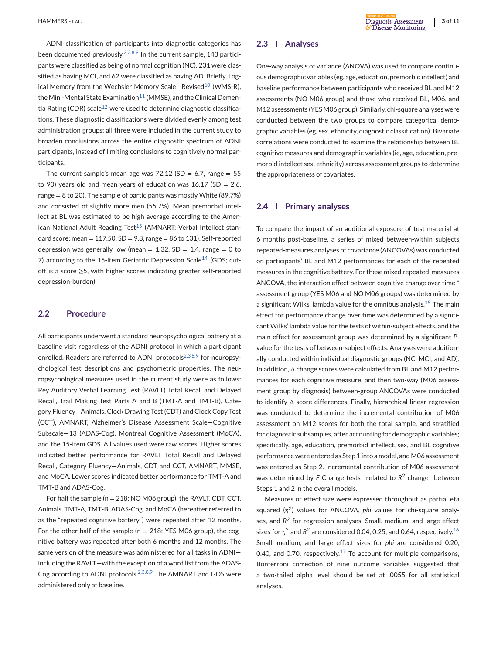ADNI classification of participants into diagnostic categories has been documented previously.<sup>2,3,8,9</sup> In the current sample, 143 participants were classified as being of normal cognition (NC), 231 were classified as having MCI, and 62 were classified as having AD. Briefly, Log-ical Memory from the Wechsler Memory Scale-Revised<sup>[10](#page-7-0)</sup> (WMS-R), the Mini-Mental State Examination<sup>11</sup> (MMSE), and the Clinical Demen-tia Rating (CDR) scale<sup>[12](#page-7-0)</sup> were used to determine diagnostic classifications. These diagnostic classifications were divided evenly among test administration groups; all three were included in the current study to broaden conclusions across the entire diagnostic spectrum of ADNI participants, instead of limiting conclusions to cognitively normal participants.

The current sample's mean age was  $72.12$  (SD = 6.7, range = 55 to 90) years old and mean years of education was  $16.17$  (SD = 2.6, range  $= 8$  to 20). The sample of participants was mostly White (89.7%) and consisted of slightly more men (55.7%). Mean premorbid intellect at BL was estimated to be high average according to the American National Adult Reading Test $13$  (AMNART; Verbal Intellect standard score: mean =  $117.50$ ,  $SD = 9.8$ , range = 86 to 131). Self-reported depression was generally low (mean  $= 1.32$ , SD  $= 1.4$ , range  $= 0$  to 7) according to the 15-item Geriatric Depression Scale<sup>[14](#page-8-0)</sup> (GDS; cutoff is a score ≥5, with higher scores indicating greater self-reported depression-burden).

## **2.2 Procedure**

All participants underwent a standard neuropsychological battery at a baseline visit regardless of the ADNI protocol in which a participant enrolled. Readers are referred to ADNI protocols<sup>[2,3,8,9](#page-7-0)</sup> for neuropsychological test descriptions and psychometric properties. The neuropsychological measures used in the current study were as follows: Rey Auditory Verbal Learning Test (RAVLT) Total Recall and Delayed Recall, Trail Making Test Parts A and B (TMT-A and TMT-B), Category Fluency—Animals, Clock Drawing Test (CDT) and Clock Copy Test (CCT), AMNART, Alzheimer's Disease Assessment Scale—Cognitive Subscale—13 (ADAS-Cog), Montreal Cognitive Assessment (MoCA), and the 15-item GDS. All values used were raw scores. Higher scores indicated better performance for RAVLT Total Recall and Delayed Recall, Category Fluency—Animals, CDT and CCT, AMNART, MMSE, and MoCA. Lower scores indicated better performance for TMT-A and TMT-B and ADAS-Cog.

For half the sample (n = 218; NO M06 group), the RAVLT, CDT, CCT, Animals, TMT-A, TMT-B, ADAS-Cog, and MoCA (hereafter referred to as the "repeated cognitive battery") were repeated after 12 months. For the other half of the sample ( $n = 218$ ; YES M06 group), the cognitive battery was repeated after both 6 months and 12 months. The same version of the measure was administered for all tasks in ADNI including the RAVLT—with the exception of a word list from the ADAS-Cog according to ADNI protocols.<sup>[2,3,8,9](#page-7-0)</sup> The AMNART and GDS were administered only at baseline.

## **2.3 Analyses**

One-way analysis of variance (ANOVA) was used to compare continuous demographic variables (eg, age, education, premorbid intellect) and baseline performance between participants who received BL and M12 assessments (NO M06 group) and those who received BL, M06, and M12 assessments (YESM06 group). Similarly, chi-square analyses were conducted between the two groups to compare categorical demographic variables (eg, sex, ethnicity, diagnostic classification). Bivariate correlations were conducted to examine the relationship between BL cognitive measures and demographic variables (ie, age, education, premorbid intellect sex, ethnicity) across assessment groups to determine the appropriateness of covariates.

## **2.4 Primary analyses**

To compare the impact of an additional exposure of test material at 6 months post-baseline, a series of mixed between-within subjects repeated-measures analyses of covariance (ANCOVAs) was conducted on participants' BL and M12 performances for each of the repeated measures in the cognitive battery. For these mixed repeated-measures ANCOVA, the interaction effect between cognitive change over time \* assessment group (YES M06 and NO M06 groups) was determined by a significant Wilks' lambda value for the omnibus analysis.[15](#page-8-0) The main effect for performance change over time was determined by a significant Wilks' lambda value for the tests of within-subject effects, and the main effect for assessment group was determined by a significant *P*value for the tests of between-subject effects. Analyses were additionally conducted within individual diagnostic groups (NC, MCI, and AD). In addition, Δ change scores were calculated from BL and M12 performances for each cognitive measure, and then two-way (M06 assessment group by diagnosis) between-group ANCOVAs were conducted to identify Δ score differences. Finally, hierarchical linear regression was conducted to determine the incremental contribution of M06 assessment on M12 scores for both the total sample, and stratified for diagnostic subsamples, after accounting for demographic variables; specifically, age, education, premorbid intellect, sex, and BL cognitive performance were entered as Step 1 into a model, and M06 assessment was entered as Step 2. Incremental contribution of M06 assessment was determined by *F* Change tests—related to *R<sup>2</sup>* change—between Steps 1 and 2 in the overall models.

Measures of effect size were expressed throughout as partial eta squared (*η2*) values for ANCOVA, *phi* values for chi-square analyses, and *R<sup>2</sup>* for regression analyses. Small, medium, and large effect sizes for  $\eta^2$  and  $R^2$  are considered 0.04, 0.25, and 0.64, respectively.<sup>[16](#page-8-0)</sup> Small, medium, and large effect sizes for *phi* are considered 0.20, 0.40, and 0.70, respectively.<sup>17</sup> To account for multiple comparisons, Bonferroni correction of nine outcome variables suggested that a two-tailed alpha level should be set at .0055 for all statistical analyses.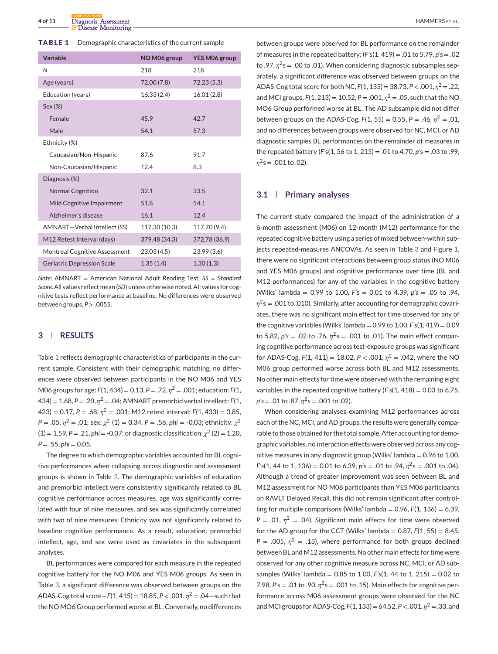**TABLE 1** Demographic characteristics of the current sample

| Variable                             | NO M06 group  | YES M06 group |
|--------------------------------------|---------------|---------------|
| N                                    | 218           | 218           |
| Age (years)                          | 72.00 (7.8)   | 72.23 (5.3)   |
| Education (years)                    | 16.33 (2.4)   | 16.01(2.8)    |
| Sex (%)                              |               |               |
| Female                               | 45.9          | 42.7          |
| Male                                 | 54.1          | 57.3          |
| Ethnicity (%)                        |               |               |
| Caucasian/Non-Hispanic               | 87.6          | 91.7          |
| Non-Caucasian/Hispanic               | 12.4          | 8.3           |
| Diagnosis (%)                        |               |               |
| <b>Normal Cognition</b>              | 32.1          | 33.5          |
| Mild Cognitive Impairment            | 51.8          | 54.1          |
| Alzheimer's disease                  | 16.1          | 12.4          |
| AMNART-Verbal Intellect (SS)         | 117.30 (10.3) | 117.70 (9.4)  |
| M12 Retest Interval (days)           | 379.48 (34.3) | 372.78 (36.9) |
| <b>Montreal Cognitive Assessment</b> | 23.03(4.5)    | 23.99(3.6)    |
| <b>Geriatric Depression Scale</b>    | 1.35(1.4)     | 1.30(1.3)     |

*Note*: AMNART = American National Adult Reading Test, *SS* = *Standard Score*. All values reflect mean (*SD*) unless otherwise noted. All values for cognitive tests reflect performance at baseline. No differences were observed between groups, *P* > .0055.

## **3 RESULTS**

Table 1 reflects demographic characteristics of participants in the current sample. Consistent with their demographic matching, no differences were observed between participants in the NO M06 and YES M06 groups for age: *F*(1, 434) = 0.13, *P* = .72, *η*<sup>2</sup> = .001; education: *F*(1, 434) = 1.68, *P* = .20, *η*<sup>2</sup> = .04; AMNART premorbid verbal intellect: *F*(1,  $(423) = 0.17$ ,  $P = .68$ ,  $n^2 = .001$ ; M12 retest interval:  $F(1, 433) = 3.85$ , *P* = .05,  $\eta^2$  = .01; sex:  $\chi^2$  (1) = 0.34, *P* = .56, *phi* = -0.03; ethnicity:  $\chi^2$  $(1) = 1.59$ ,  $P = .21$ ,  $phi = -0.07$ ; or diagnostic classification:  $\chi^2$  (2) = 1.20, *P* = .55, *phi* = 0.05.

The degree to which demographic variables accounted for BL cognitive performances when collapsing across diagnostic and assessment groups is shown in Table [2.](#page-4-0) The demographic variables of education and premorbid intellect were consistently significantly related to BL cognitive performance across measures, age was significantly correlated with four of nine measures, and sex was significantly correlated with two of nine measures. Ethnicity was not significantly related to baseline cognitive performance. As a result, education, premorbid intellect, age, and sex were used as covariates in the subsequent analyses.

BL performances were compared for each measure in the repeated cognitive battery for the NO M06 and YES M06 groups. As seen in Table [3,](#page-4-0) a significant difference was observed between groups on the ADAS-Cog total score—*F*(1, 415) = 18.85, *P* < .001, *η*<sup>2</sup> = .04—such that the NO MO6 Group performed worse at BL. Conversely, no differences

between groups were observed for BL performance on the remainder of measures in the repeated battery: (*F'*s(1, 419) = .01 to 5.79, *p'*s = .02 to .97,  $\eta^2$ s = .00 to .01). When considering diagnostic subsamples separately, a significant difference was observed between groups on the ADAS-Cog total score for both NC, *F*(1, 135) = 38.73, *P* < .001, *η*<sup>2</sup> = .22, and MCI groups,  $F(1, 213) = 10.52$ ,  $P = .001$ ,  $n^2 = .05$ , such that the NO MO6 Group performed worse at BL. The AD subsample did not differ between groups on the ADAS-Cog,  $F(1, 55) = 0.55$ ,  $P = .46$ ,  $\eta^2 = .01$ , and no differences between groups were observed for NC, MCI, or AD diagnostic samples BL performances on the remainder of measures in the repeated battery (*F'*s(1, 56 to 1, 215) = .01 to 4.70, *p'*s = .03 to .99,  $\eta^2$ s = .001 to .02).

### **3.1 Primary analyses**

The current study compared the impact of the administration of a 6-month assessment (M06) on 12-month (M12) performance for the repeated cognitive battery using a series of mixed between-within subjects repeated-measures ANCOVAs. As seen in Table [3](#page-4-0) and Figure [1,](#page-5-0) there were no significant interactions between group status (NO M06 and YES M06 groups) and cognitive performance over time (BL and M12 performances) for any of the variables in the cognitive battery (Wilks' lambda = 0.99 to 1.00, *F'*s = 0.01 to 4.39, *p's* = .05 to .94, *η*<sup>2</sup>s = .001 to .010). Similarly, after accounting for demographic covariates, there was no significant main effect for time observed for any of the cognitive variables (Wilks' lambda = 0.99 to 1.00, *F's*(1, 419) = 0.09 to 5.82,  $p's = .02$  to .76,  $\eta^2 s = .001$  to .01). The main effect comparing cognitive performance across test-exposure groups was significant for ADAS-Cog,  $F(1, 411) = 18.02$ ,  $P < .001$ ,  $\eta^2 = .042$ , where the NO M06 group performed worse across both BL and M12 assessments. No other main effects for time were observed with the remaining eight variables in the repeated cognitive battery (*F's*(1, 418) = 0.03 to 6.75, *p's* = .01 to .87, *η*2s = .001 to .02).

When considering analyses examining M12 performances across each of the NC, MCI, and AD groups, the results were generally comparable to those obtained for the total sample. After accounting for demographic variables, no interaction effects were observed across any cognitive measures in any diagnostic group (Wilks' lambda = 0.96 to 1.00, *F's*(1, 44 to 1, 136) = 0.01 to 6.39, *p's* = .01 to .94, *η*2s = .001 to .04). Although a trend of greater improvement was seen between BL and M12 assessment for NO M06 participants than YES M06 participants on RAVLT Delayed Recall, this did not remain significant after controlling for multiple comparisons (Wilks' lambda =  $0.96$ ,  $F(1, 136) = 6.39$ ,  $P = .01$ ,  $\eta^2 = .04$ ). Significant main effects for time were observed for the AD group for the CCT (Wilks' lambda =  $0.87$ ,  $F(1, 55) = 8.45$ ,  $P = .005$ ,  $\eta^2 = .13$ ), where performance for both groups declined between BL and M12 assessments. No other main effects for time were observed for any other cognitive measure across NC, MCI, or AD subsamples (Wilks' lambda = 0.85 to 1.00, *F's*(1, 44 to 1, 215) = 0.02 to 7.98, *P'*s = .01 to .90, *η*2s = .001 to .15). Main effects for cognitive performance across M06 assessment groups were observed for the NC andMCI groups for ADAS-Cog, *F*(1, 133) = 64.52, *P* < .001, *η*<sup>2</sup> = .33, and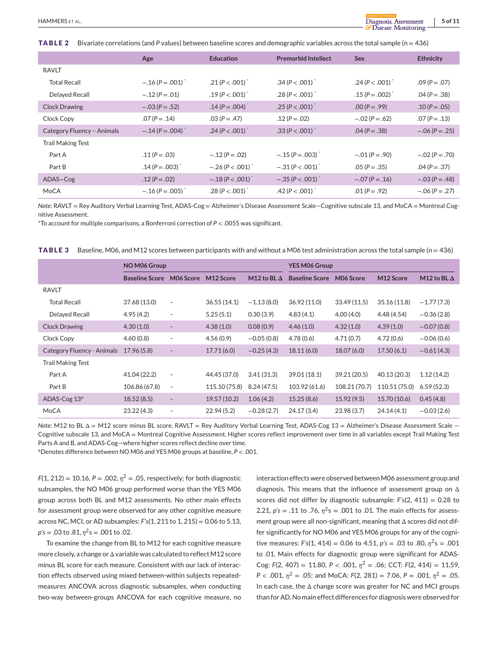<span id="page-4-0"></span>**TABLE 2** Bivariate correlations (and *P* values) between baseline scores and demographic variables across the total sample (n = 436)

|                            | Age                  | <b>Education</b>                  | <b>Premorbid Intellect</b> | <b>Sex</b>           | <b>Ethnicity</b> |
|----------------------------|----------------------|-----------------------------------|----------------------------|----------------------|------------------|
| <b>RAVLT</b>               |                      |                                   |                            |                      |                  |
| <b>Total Recall</b>        | $-.16 (P=.001)$      | .21 ( $P < .001$ ) <sup>*</sup>   | $.34 (P < .001)^{4}$       | $.24 (P < .001)^*$   | $.09 (P = .07)$  |
| Delayed Recall             | $-.12 (P = .01)$     | $.19 (P < .001)^{4}$              | $.28 (P < .001)^{4}$       | $.15 (P = .002)^{4}$ | $.04 (P = .38)$  |
| <b>Clock Drawing</b>       | $-.03 (P = .52)$     | $.14 (P = .004)^{4}$              | $.25 (P < .001)^{4}$       | $.00 (P = .99)$      | $.10 (P = .05)$  |
| Clock Copy                 | $.07 (P = .14)$      | $.03 (P = .47)$                   | $.12 (P = .02)$            | $-.02 (P=.62)$       | $.07 (P = .13)$  |
| Category Fluency - Animals | $-.14 (P=.004)$      | $.24 (P < .001)^*$                | $.33(P < .001)^*$          | $.04 (P = .38)$      | $-.06 (P=.25)$   |
| <b>Trail Making Test</b>   |                      |                                   |                            |                      |                  |
| Part A                     | $.11 (P = .03)$      | $-.12 (P=.02)$                    | $-.15 (P=.003)$            | $-.01 (P=.90)$       | $-.02 (P=.70)$   |
| Part B                     | $.14 (P = .003)^{*}$ | $-.26 (P < .001)^{4}$             | $-.31 (P < .001)^*$        | $.05 (P = .35)$      | $.04 (P = .37)$  |
| ADAS-Cog                   | $.12 (P = .02)$      | $-.18$ (P $< .001$ ) <sup>*</sup> | $-.35 (P < .001)$          | $-.07 (P=.16)$       | $-.03 (P = .48)$ |
| MoCA                       | $-.16 (P=.005)^*$    | $.28 (P < .001)^*$                | $.42 (P < .001)^*$         | $.01 (P = .92)$      | $-.06 (P=.27)$   |

*Note*: RAVLT = Rey Auditory Verbal Learning Test, ADAS-Cog = Alzheimer's Disease Assessment Scale*—*Cognitive subscale 13, and MoCA = Montreal Cognitive Assessment.

\*To account for multiple comparisons, a Bonferroni correction of *P* < .0055 was significant.

**TABLE 3** Baseline, M06, and M12 scores between participants with and without a M06 test administration across the total sample (n = 436)

|                            | NO M06 Group          |                          | <b>YES M06 Group</b> |                    |                       |               |               |                    |
|----------------------------|-----------------------|--------------------------|----------------------|--------------------|-----------------------|---------------|---------------|--------------------|
|                            | <b>Baseline Score</b> | M06 Score                | M12 Score            | M12 to BL $\Delta$ | <b>Baseline Score</b> | M06 Score     | M12 Score     | M12 to BL $\Delta$ |
| <b>RAVLT</b>               |                       |                          |                      |                    |                       |               |               |                    |
| <b>Total Recall</b>        | 37.68 (13.0)          | $\overline{\phantom{a}}$ | 36.55(14.1)          | $-1.13(8.0)$       | 36.92 (11.0)          | 33.49(11.5)   | 35.16 (11.8)  | $-1.77(7.3)$       |
| Delayed Recall             | 4.95(4.2)             | $\qquad \qquad =$        | 5.25(5.1)            | 0.30(3.9)          | 4.83(4.1)             | 4.00(4.0)     | 4.48(4.54)    | $-0.36(2.8)$       |
| <b>Clock Drawing</b>       | 4.30(1.0)             | $\qquad \qquad -$        | 4.38(1.0)            | 0.08(0.9)          | 4.46(1.0)             | 4.32(1.0)     | 4.39(1.0)     | $-0.07(0.8)$       |
| Clock Copy                 | 4.60(0.8)             | $\qquad \qquad -$        | 4.56(0.9)            | $-0.05(0.8)$       | 4.78(0.6)             | 4.71(0.7)     | 4.72(0.6)     | $-0.06(0.6)$       |
| Category Fluency - Animals | 17.96(5.8)            |                          | 17.71(6.0)           | $-0.25(4.3)$       | 18.11(6.0)            | 18.07(6.0)    | 17.50(6.1)    | $-0.61(4.3)$       |
| <b>Trail Making Test</b>   |                       |                          |                      |                    |                       |               |               |                    |
| Part A                     | 41.04 (22.2)          | $\overline{\phantom{a}}$ | 44.45 (37.0)         | 3.41(31.3)         | 39.01 (18.1)          | 39.21 (20.5)  | 40.13 (20.3)  | 1.12(14.2)         |
| Part B                     | 106.86 (67.8)         | $\overline{\phantom{a}}$ | 115.10 (75.8)        | 8.24(47.5)         | 103.92 (61.6)         | 108.21 (70.7) | 110.51 (75.0) | 6.59(52.3)         |
| ADAS-Cog 13 <sup>a</sup>   | 18.52(8.5)            | $\qquad \qquad -$        | 19.57 (10.2)         | 1.06(4.2)          | 15.25(8.6)            | 15.92(9.5)    | 15.70 (10.6)  | 0.45(4.8)          |
| MoCA                       | 23.22(4.3)            | $\overline{\phantom{a}}$ | 22.94(5.2)           | $-0.28(2.7)$       | 24.17 (3.4)           | 23.98(3.7)    | 24.14(4.1)    | $-0.03(2.6)$       |

*Note*: M12 to BL Δ = M12 score minus BL score, RAVLT = Rey Auditory Verbal Learning Test, ADAS-Cog 13 = Alzheimer's Disease Assessment Scale — Cognitive subscale 13, and MoCA = Montreal Cognitive Assessment. Higher scores reflect improvement over time in all variables except Trail Making Test Parts A and B, and ADAS-Cog—where higher scores reflect decline over time.

aDenotes difference between NO M06 and YES M06 groups at baseline, *P* < .001.

 $F(1, 212) = 10.16$ ,  $P = .002$ ,  $\eta^2 = .05$ , respectively; for both diagnostic subsamples, the NO M06 group performed worse than the YES M06 group across both BL and M12 assessments. No other main effects for assessment group were observed for any other cognitive measure across NC, MCI, or AD subsamples: *F's*(1, 211 to 1, 215) = 0.06 to 5.13, *p's* = .03 to .81, *η*2s = .001 to .02.

To examine the change from BL to M12 for each cognitive measure more closely, a change or  $\Delta$  variable was calculated to reflect M12 score minus BL score for each measure. Consistent with our lack of interaction effects observed using mixed between-within subjects repeatedmeasures ANCOVA across diagnostic subsamples, when conducting two-way between-groups ANCOVA for each cognitive measure, no interaction effects were observed between M06 assessment group and diagnosis. This means that the influence of assessment group on Δ scores did not differ by diagnostic subsample: *F's*(2, 411) = 0.28 to 2.21,  $p's = .11$  to .76,  $\eta^2 s = .001$  to .01. The main effects for assessment group were all non-significant, meaning that Δ scores did not differ significantly for NO M06 and YES M06 groups for any of the cognitive measures: *F's*(1, 414) = 0.06 to 4.51,  $p's = .03$  to .80,  $\eta^2 s = .001$ to .01. Main effects for diagnostic group were significant for ADAS-Cog: *F*(2, 407) = 11.80, *P* < .001, *η*<sup>2</sup> = .06; CCT: *F*(2, 414) = 11.59, *P* < .001, *η*<sup>2</sup> = .05; and MoCA: *F*(2, 281) = 7.06, *P* = .001, *η*<sup>2</sup> = .05. In each case, the Δ change score was greater for NC and MCI groups than for AD. No main effect differences for diagnosis were observed for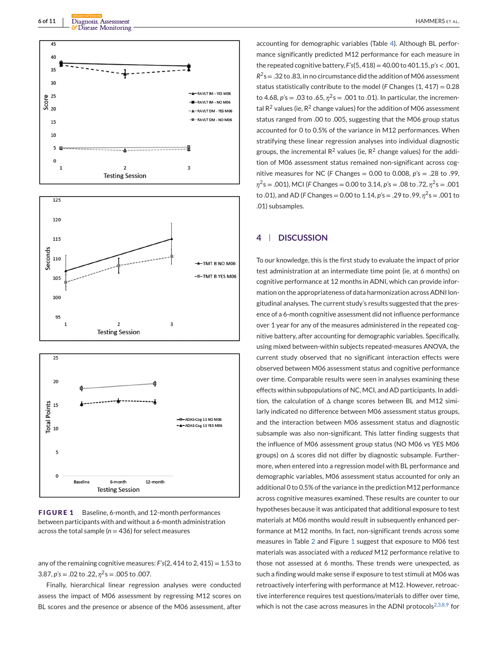<span id="page-5-0"></span>



**FIGURE 1** Baseline, 6-month, and 12-month performances between participants with and without a 6-month administration across the total sample ( $n = 436$ ) for select measures

any of the remaining cognitive measures: *F's*(2, 414 to 2, 415) = 1.53 to 3.87,  $p's = .02$  to .22,  $\eta^2 s = .005$  to .007.

Finally, hierarchical linear regression analyses were conducted assess the impact of M06 assessment by regressing M12 scores on BL scores and the presence or absence of the M06 assessment, after

accounting for demographic variables (Table [4\)](#page-6-0). Although BL performance significantly predicted M12 performance for each measure in the repeated cognitive battery, *F's*(5, 418) = 40.00 to 401.15, *p's* < .001,  $R^2$ s = .32 to .83, in no circumstance did the addition of M06 assessment status statistically contribute to the model (*F* Changes (1, 417) = 0.28 to 4.68,  $p's = .03$  to  $.65$ ,  $n^2s = .001$  to  $.01$ ). In particular, the incremental  $R^2$  values (ie,  $R^2$  change values) for the addition of M06 assessment status ranged from .00 to .005, suggesting that the M06 group status accounted for 0 to 0.5% of the variance in M12 performances. When stratifying these linear regression analyses into individual diagnostic groups, the incremental  $R^2$  values (ie,  $R^2$  change values) for the addition of M06 assessment status remained non-significant across cognitive measures for NC (*F* Changes = 0.00 to 0.008, *p'*s = .28 to .99, *η*2s = .001), MCI (*F* Changes = 0.00 to 3.14, *p'*s = .08 to .72, *η*2s = .001 to .01), and AD (*F* Changes = 0.00 to 1.14, *p'*s = .29 to .99, *η*2s = .001 to .01) subsamples.

## **4 DISCUSSION**

To our knowledge, this is the first study to evaluate the impact of prior test administration at an intermediate time point (ie, at 6 months) on cognitive performance at 12 months in ADNI, which can provide information on the appropriateness of data harmonization across ADNI longitudinal analyses. The current study's results suggested that the presence of a 6-month cognitive assessment did not influence performance over 1 year for any of the measures administered in the repeated cognitive battery, after accounting for demographic variables. Specifically, using mixed between-within subjects repeated-measures ANOVA, the current study observed that no significant interaction effects were observed between M06 assessment status and cognitive performance over time. Comparable results were seen in analyses examining these effects within subpopulations of NC, MCI, and AD participants. In addition, the calculation of Δ change scores between BL and M12 similarly indicated no difference between M06 assessment status groups, and the interaction between M06 assessment status and diagnostic subsample was also non-significant. This latter finding suggests that the influence of M06 assessment group status (NO M06 vs YES M06 groups) on Δ scores did not differ by diagnostic subsample. Furthermore, when entered into a regression model with BL performance and demographic variables, M06 assessment status accounted for only an additional 0 to 0.5% of the variance in the prediction M12 performance across cognitive measures examined. These results are counter to our hypotheses because it was anticipated that additional exposure to test materials at M06 months would result in subsequently enhanced performance at M12 months. In fact, non-significant trends across some measures in Table [2](#page-4-0) and Figure 1 suggest that exposure to M06 test materials was associated with a *reduced* M12 performance relative to those not assessed at 6 months. These trends were unexpected, as such a finding would make sense if exposure to test stimuli at M06 was retroactively interfering with performance at M12. However, retroactive interference requires test questions/materials to differ over time, which is not the case across measures in the ADNI protocols $2,3,8,9$  for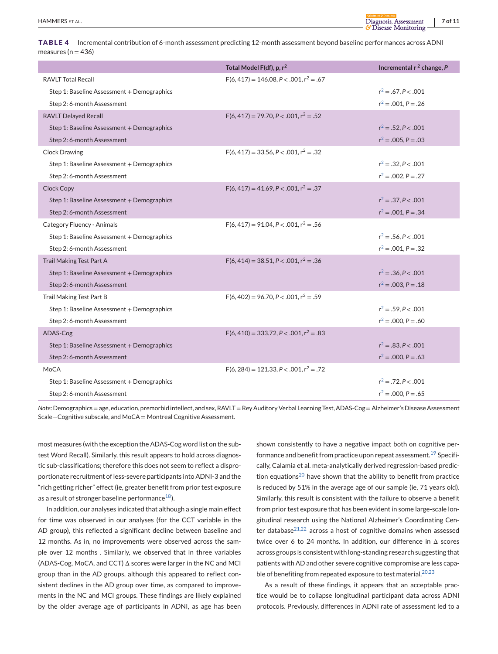<span id="page-6-0"></span>**TABLE 4** Incremental contribution of 6-month assessment predicting 12-month assessment beyond baseline performances across ADNI measures ( $n = 436$ )

|                                            | Total Model F(df), p, $r^2$                    | Incremental $r^2$ change, P |
|--------------------------------------------|------------------------------------------------|-----------------------------|
| <b>RAVLT Total Recall</b>                  | $F(6, 417) = 146.08, P < .001, r2 = .67$       |                             |
| Step 1: Baseline Assessment + Demographics |                                                | $r^2 = .67. P < .001$       |
| Step 2: 6-month Assessment                 |                                                | $r^2 = .001$ . $P = .26$    |
| <b>RAVLT Delayed Recall</b>                | $F(6, 417) = 79.70$ , $P < .001$ , $r^2 = .52$ |                             |
| Step 1: Baseline Assessment + Demographics |                                                | $r^2 = .52, P < .001$       |
| Step 2: 6-month Assessment                 |                                                | $r^2 = .005$ , $P = .03$    |
| <b>Clock Drawing</b>                       | $F(6, 417) = 33.56, P < .001, r^2 = .32$       |                             |
| Step 1: Baseline Assessment + Demographics |                                                | $r^2 = .32, P < .001$       |
| Step 2: 6-month Assessment                 |                                                | $r^2 = .002$ , $P = .27$    |
| <b>Clock Copy</b>                          | $F(6, 417) = 41.69$ , $P < .001$ , $r^2 = .37$ |                             |
| Step 1: Baseline Assessment + Demographics |                                                | $r^2 = .37, P < .001$       |
| Step 2: 6-month Assessment                 |                                                | $r^2 = .001, P = .34$       |
| Category Fluency - Animals                 | $F(6, 417) = 91.04, P < .001, r^2 = .56$       |                             |
| Step 1: Baseline Assessment + Demographics |                                                | $r^2 = .56, P < .001$       |
| Step 2: 6-month Assessment                 |                                                | $r^2 = .001$ . $P = .32$    |
| Trail Making Test Part A                   | $F(6, 414) = 38.51$ , $P < .001$ , $r^2 = .36$ |                             |
| Step 1: Baseline Assessment + Demographics |                                                | $r^2 = .36, P < .001$       |
| Step 2: 6-month Assessment                 |                                                | $r^2 = .003, P = .18$       |
| Trail Making Test Part B                   | $F(6, 402) = 96.70, P < .001, r^2 = .59$       |                             |
| Step 1: Baseline Assessment + Demographics |                                                | $r^2 = .59. P < .001$       |
| Step 2: 6-month Assessment                 |                                                | $r^2 = .000$ , $P = .60$    |
| ADAS-Cog                                   | $F(6, 410) = 333.72, P < .001, r^2 = .83$      |                             |
| Step 1: Baseline Assessment + Demographics |                                                | $r^2 = .83$ , $P < .001$    |
| Step 2: 6-month Assessment                 |                                                | $r^2 = .000, P = .63$       |
| <b>MoCA</b>                                | $F(6, 284) = 121.33, P < .001, r^2 = .72$      |                             |
| Step 1: Baseline Assessment + Demographics |                                                | $r^2 = .72, P < .001$       |
| Step 2: 6-month Assessment                 |                                                | $r^2 = .000$ , $P = .65$    |

*Note*: Demographics = age, education, premorbid intellect, and sex, RAVLT = Rey Auditory Verbal Learning Test, ADAS-Cog = Alzheimer's Disease Assessment Scale—Cognitive subscale, and MoCA = Montreal Cognitive Assessment.

most measures (with the exception the ADAS-Cog word list on the subtest Word Recall). Similarly, this result appears to hold across diagnostic sub-classifications; therefore this does not seem to reflect a disproportionate recruitment of less-severe participants into ADNI-3 and the "rich getting richer" effect (ie, greater benefit from prior test exposure as a result of stronger baseline performance $^{18}$ ).

In addition, our analyses indicated that although a single main effect for time was observed in our analyses (for the CCT variable in the AD group), this reflected a significant decline between baseline and 12 months. As in, no improvements were observed across the sample over 12 months . Similarly, we observed that in three variables (ADAS-Cog, MoCA, and CCT) Δ scores were larger in the NC and MCI group than in the AD groups, although this appeared to reflect consistent declines in the AD group over time, as compared to improvements in the NC and MCI groups. These findings are likely explained by the older average age of participants in ADNI, as age has been

shown consistently to have a negative impact both on cognitive per-formance and benefit from practice upon repeat assessment.<sup>[19](#page-8-0)</sup> Specifically, Calamia et al. meta-analytically derived regression-based predic-tion equations<sup>[20](#page-8-0)</sup> have shown that the ability to benefit from practice is reduced by 51% in the average age of our sample (ie, 71 years old). Similarly, this result is consistent with the failure to observe a benefit from prior test exposure that has been evident in some large-scale longitudinal research using the National Alzheimer's Coordinating Cen-ter database<sup>[21,22](#page-8-0)</sup> across a host of cognitive domains when assessed twice over 6 to 24 months. In addition, our difference in Δ scores across groups is consistent with long-standing research suggesting that patients with AD and other severe cognitive compromise are less capable of benefiting from repeated exposure to test material. $20,23$ 

As a result of these findings, it appears that an acceptable practice would be to collapse longitudinal participant data across ADNI protocols. Previously, differences in ADNI rate of assessment led to a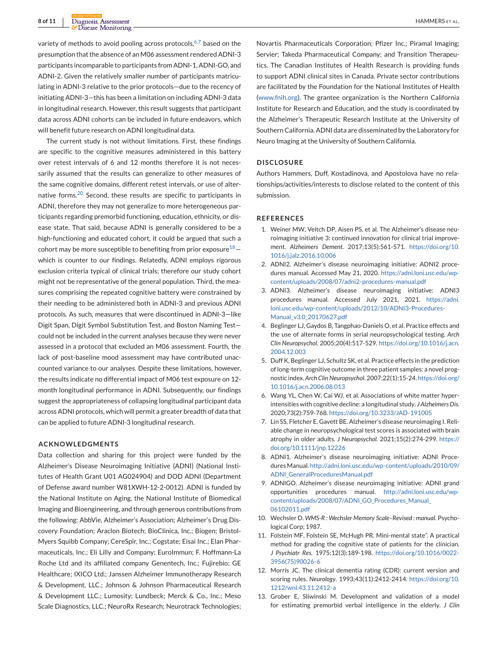<span id="page-7-0"></span>variety of methods to avoid pooling across protocols, $6,7$  based on the presumption that the absence of an M06 assessment rendered ADNI-3 participants incomparable to participants from ADNI-1, ADNI-GO, and ADNI-2. Given the relatively smaller number of participants matriculating in ADNI-3 relative to the prior protocols—due to the recency of initiating ADNI-3—this has been a limitation on including ADNI-3 data in longitudinal research. However, this result suggests that participant data across ADNI cohorts can be included in future endeavors, which will benefit future research on ADNI longitudinal data.

The current study is not without limitations. First, these findings are specific to the cognitive measures administered in this battery over retest intervals of 6 and 12 months therefore it is not necessarily assumed that the results can generalize to other measures of the same cognitive domains, different retest intervals, or use of alter-native forms.<sup>[20](#page-8-0)</sup> Second, these results are specific to participants in ADNI, therefore they may not generalize to more heterogeneous participants regarding premorbid functioning, education, ethnicity, or disease state. That said, because ADNI is generally considered to be a high-functioning and educated cohort, it could be argued that such a cohort may be more susceptible to benefiting from prior exposure  $18$ which is counter to our findings. Relatedly, ADNI employs rigorous exclusion criteria typical of clinical trials; therefore our study cohort might not be representative of the general population. Third, the measures comprising the repeated cognitive battery were constrained by their needing to be administered both in ADNI-3 and previous ADNI protocols. As such, measures that were discontinued in ADNI-3—like Digit Span, Digit Symbol Substitution Test, and Boston Naming Test could not be included in the current analyses because they were never assessed in a protocol that excluded an M06 assessment. Fourth, the lack of post-baseline mood assessment may have contributed unaccounted variance to our analyses. Despite these limitations, however, the results indicate no differential impact of M06 test exposure on 12 month longitudinal performance in ADNI. Subsequently, our findings suggest the appropriateness of collapsing longitudinal participant data across ADNI protocols, which will permit a greater breadth of data that can be applied to future ADNI-3 longitudinal research.

#### **ACKNOWLEDGMENTS**

Data collection and sharing for this project were funded by the Alzheimer's Disease Neuroimaging Initiative (ADNI) (National Institutes of Health Grant U01 AG024904) and DOD ADNI (Department of Defense award number W81XWH-12-2-0012). ADNI is funded by the National Institute on Aging, the National Institute of Biomedical Imaging and Bioengineering, and through generous contributions from the following: AbbVie, Alzheimer's Association; Alzheimer's Drug Discovery Foundation; Araclon Biotech; BioClinica, Inc.; Biogen; Bristol-Myers Squibb Company; CereSpir, Inc.; Cogstate; Eisai Inc.; Elan Pharmaceuticals, Inc.; Eli Lilly and Company; EuroImmun; F. Hoffmann-La Roche Ltd and its affiliated company Genentech, Inc.; Fujirebio; GE Healthcare; IXICO Ltd.; Janssen Alzheimer Immunotherapy Research & Development, LLC.; Johnson & Johnson Pharmaceutical Research & Development LLC.; Lumosity; Lundbeck; Merck & Co., Inc.; Meso Scale Diagnostics, LLC.; NeuroRx Research; Neurotrack Technologies;

Novartis Pharmaceuticals Corporation; Pfizer Inc.; Piramal Imaging; Servier; Takeda Pharmaceutical Company; and Transition Therapeutics. The Canadian Institutes of Health Research is providing funds to support ADNI clinical sites in Canada. Private sector contributions are facilitated by the Foundation for the National Institutes of Health [\(www.fnih.org\)](http://www.fnih.org). The grantee organization is the Northern California Institute for Research and Education, and the study is coordinated by the Alzheimer's Therapeutic Research Institute at the University of Southern California. ADNI data are disseminated by the Laboratory for Neuro Imaging at the University of Southern California.

#### **DISCLOSURE**

Authors Hammers, Duff, Kostadinova, and Apostolova have no relationships/activities/interests to disclose related to the content of this submission.

#### **REFERENCES**

- 1. Weiner MW, Veitch DP, Aisen PS, et al. The Alzheimer's disease neuroimaging initiative 3: continued innovation for clinical trial improvement. *Alzheimers Dement*. 2017;13(5):561-571. [https://doi.org/10.](https://doi.org/10.1016/j.jalz.2016.10.006) [1016/j.jalz.2016.10.006](https://doi.org/10.1016/j.jalz.2016.10.006)
- 2. ADNI2. Alzheimer's disease neuroimaging initiative: ADNI2 procedures manual. Accessed May 21, 2020. [https://adni.loni.usc.edu/wp](https://adni.loni.usc.edu/wp-content/uploads/2008/07/adni2-procedures-manual.pdf)[content/uploads/2008/07/adni2-procedures-manual.pdf](https://adni.loni.usc.edu/wp-content/uploads/2008/07/adni2-procedures-manual.pdf)
- 3. ADNI3. Alzheimer's disease neuroimaging initiative: ADNI3 procedures manual. Accessed July 2021, 2021. [https://adni.](https://adni.loni.usc.edu/wp-content/uploads/2012/10/ADNI3-Procedures-Manual_v3.0_20170627.pdf) [loni.usc.edu/wp-content/uploads/2012/10/ADNI3-Procedures-](https://adni.loni.usc.edu/wp-content/uploads/2012/10/ADNI3-Procedures-Manual_v3.0_20170627.pdf)[Manual\\_v3.0\\_20170627.pdf](https://adni.loni.usc.edu/wp-content/uploads/2012/10/ADNI3-Procedures-Manual_v3.0_20170627.pdf)
- 4. Beglinger LJ, Gaydos B, Tangphao-Daniels O, et al. Practice effects and the use of alternate forms in serial neuropsychological testing. *Arch Clin Neuropsychol*. 2005;20(4):517-529. [https://doi.org/10.1016/j.acn.](https://doi.org/10.1016/j.acn.2004.12.003) [2004.12.003](https://doi.org/10.1016/j.acn.2004.12.003)
- 5. Duff K, Beglinger LJ, Schultz SK, et al. Practice effects in the prediction of long-term cognitive outcome in three patient samples: a novel prognostic index. *Arch Clin Neuropsychol*. 2007;22(1):15-24. [https://doi.org/](https://doi.org/10.1016/j.acn.2006.08.013) [10.1016/j.acn.2006.08.013](https://doi.org/10.1016/j.acn.2006.08.013)
- 6. Wang YL, Chen W, Cai WJ, et al. Associations of white matter hyperintensities with cognitive decline: a longitudinal study. *J Alzheimers Dis*. 2020;73(2):759-768. <https://doi.org/10.3233/JAD-191005>
- 7. Lin SS, Fletcher E, Gavett BE. Alzheimer's disease neuroimaging I. Reliable change in neuropsychological test scores is associated with brain atrophy in older adults. *J Neuropsychol*. 2021;15(2):274-299. [https://](https://doi.org/10.1111/jnp.12226) [doi.org/10.1111/jnp.12226](https://doi.org/10.1111/jnp.12226)
- 8. ADNI1. Alzheimer's disease neuroimaging initiative: ADNI Procedures Manual. [http://adni.loni.usc.edu/wp-content/uploads/2010/09/](http://adni.loni.usc.edu/wp-content/uploads/2010/09/ADNI_GeneralProceduresManual.pdf) [ADNI\\_GeneralProceduresManual.pdf](http://adni.loni.usc.edu/wp-content/uploads/2010/09/ADNI_GeneralProceduresManual.pdf)
- 9. ADNIGO. Alzheimer's disease neuroimaging initiative: ADNI grand opportunities procedures manual. [http://adni.loni.usc.edu/wp](http://adni.loni.usc.edu/wp-content/uploads/2008/07/ADNI_GO_Procedures_Manual_06102011.pdf)[content/uploads/2008/07/ADNI\\_GO\\_Procedures\\_Manual\\_](http://adni.loni.usc.edu/wp-content/uploads/2008/07/ADNI_GO_Procedures_Manual_06102011.pdf) [06102011.pdf](http://adni.loni.usc.edu/wp-content/uploads/2008/07/ADNI_GO_Procedures_Manual_06102011.pdf)
- 10. Wechsler D. *WMS-R : Wechsler Memory Scale–Revised : manual*. Psychological Corp; 1987.
- 11. Folstein MF, Folstein SE, McHugh PR. Mini-mental state". A practical method for grading the cognitive state of patients for the clinician. *J Psychiatr Res*. 1975;12(3):189-198. [https://doi.org/10.1016/0022-](https://doi.org/10.1016/0022-3956(75)90026-6) [3956\(75\)90026-6](https://doi.org/10.1016/0022-3956(75)90026-6)
- 12. Morris JC. The clinical dementia rating (CDR): current version and scoring rules. *Neurology*. 1993;43(11):2412-2414. [https://doi.org/10.](https://doi.org/10.1212/wnl.43.11.2412-a) [1212/wnl.43.11.2412-a](https://doi.org/10.1212/wnl.43.11.2412-a)
- 13. Grober E, Sliwinski M. Development and validation of a model for estimating premorbid verbal intelligence in the elderly. *J Clin*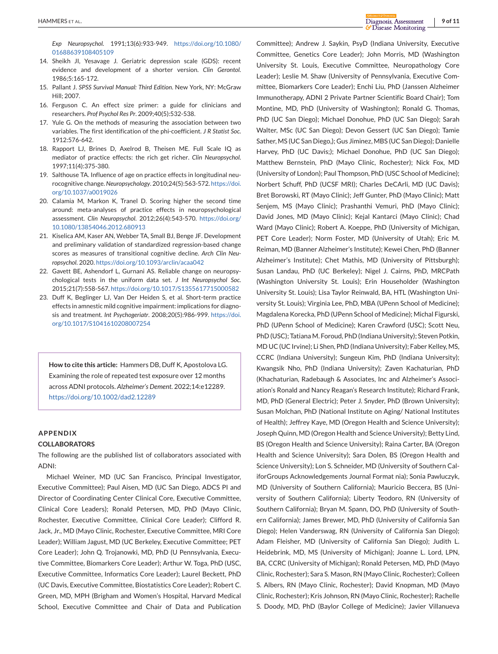<span id="page-8-0"></span>*Exp Neuropsychol*. 1991;13(6):933-949. [https://doi.org/10.1080/](https://doi.org/10.1080/01688639108405109) [01688639108405109](https://doi.org/10.1080/01688639108405109)

- 14. Sheikh JI, Yesavage J. Geriatric depression scale (GDS): recent evidence and development of a shorter version. *Clin Gerontol*. 1986;5:165-172.
- 15. Pallant J. *SPSS Survival Manual: Third Edition*. New York, NY: McGraw Hill; 2007.
- 16. Ferguson C. An effect size primer: a guide for clinicians and researchers. *Prof Psychol Res Pr*. 2009;40(5):532-538.
- 17. Yule G. On the methods of measuring the association between two variables. The first identification of the phi-coefficient. *J R Statist Soc*. 1912:576-642.
- 18. Rapport LJ, Brines D, Axelrod B, Theisen ME. Full Scale IQ as mediator of practice effects: the rich get richer. *Clin Neuropsychol*. 1997;11(4):375-380.
- 19. Salthouse TA. Influence of age on practice effects in longitudinal neurocognitive change. *Neuropsychology*. 2010;24(5):563-572. [https://doi.](https://doi.org/10.1037/a0019026) [org/10.1037/a0019026](https://doi.org/10.1037/a0019026)
- 20. Calamia M, Markon K, Tranel D. Scoring higher the second time around: meta-analyses of practice effects in neuropsychological assessment. *Clin Neuropsychol*. 2012;26(4):543-570. [https://doi.org/](https://doi.org/10.1080/13854046.2012.680913) [10.1080/13854046.2012.680913](https://doi.org/10.1080/13854046.2012.680913)
- 21. Kiselica AM, Kaser AN, Webber TA, Small BJ, Benge JF. Development and preliminary validation of standardized regression-based change scores as measures of transitional cognitive decline. *Arch Clin Neuropsychol*. 2020. <https://doi.org/10.1093/arclin/acaa042>
- 22. Gavett BE, Ashendorf L, Gurnani AS. Reliable change on neuropsychological tests in the uniform data set. *J Int Neuropsychol Soc*. 2015;21(7):558-567. <https://doi.org/10.1017/S1355617715000582>
- 23. Duff K, Beglinger LJ, Van Der Heiden S, et al. Short-term practice effects in amnestic mild cognitive impairment: implications for diagnosis and treatment. *Int Psychogeriatr*. 2008;20(5):986-999. [https://doi.](https://doi.org/10.1017/S1041610208007254) [org/10.1017/S1041610208007254](https://doi.org/10.1017/S1041610208007254)

**How to cite this article:** Hammers DB, Duff K, Apostolova LG. Examining the role of repeated test exposure over 12 months across ADNI protocols. *Alzheimer's Dement*. 2022;14:e12289. <https://doi.org/10.1002/dad2.12289>

#### **APPENDIX**

#### **COLLABORATORS**

The following are the published list of collaborators associated with ADNI:

Michael Weiner, MD (UC San Francisco, Principal Investigator, Executive Committee); Paul Aisen, MD (UC San Diego, ADCS PI and Director of Coordinating Center Clinical Core, Executive Committee, Clinical Core Leaders); Ronald Petersen, MD, PhD (Mayo Clinic, Rochester, Executive Committee, Clinical Core Leader); Clifford R. Jack, Jr., MD (Mayo Clinic, Rochester, Executive Committee, MRI Core Leader); William Jagust, MD (UC Berkeley, Executive Committee; PET Core Leader); John Q. Trojanowki, MD, PhD (U Pennsylvania, Executive Committee, Biomarkers Core Leader); Arthur W. Toga, PhD (USC, Executive Committee, Informatics Core Leader); Laurel Beckett, PhD (UC Davis, Executive Committee, Biostatistics Core Leader); Robert C. Green, MD, MPH (Brigham and Women's Hospital, Harvard Medical School, Executive Committee and Chair of Data and Publication

Committee); Andrew J. Saykin, PsyD (Indiana University, Executive Committee, Genetics Core Leader); John Morris, MD (Washington University St. Louis, Executive Committee, Neuropathology Core Leader); Leslie M. Shaw (University of Pennsylvania, Executive Committee, Biomarkers Core Leader); Enchi Liu, PhD (Janssen Alzheimer Immunotherapy, ADNI 2 Private Partner Scientific Board Chair); Tom Montine, MD, PhD (University of Washington); Ronald G. Thomas, PhD (UC San Diego); Michael Donohue, PhD (UC San Diego); Sarah Walter, MSc (UC San Diego); Devon Gessert (UC San Diego); Tamie Sather, MS (UC San Diego,); Gus Jiminez, MBS (UC San Diego); Danielle Harvey, PhD (UC Davis;); Michael Donohue, PhD (UC San Diego); Matthew Bernstein, PhD (Mayo Clinic, Rochester); Nick Fox, MD (University of London); Paul Thompson, PhD (USC School of Medicine); Norbert Schuff, PhD (UCSF MRI); Charles DeCArli, MD (UC Davis); Bret Borowski, RT (Mayo Clinic); Jeff Gunter, PhD (Mayo Clinic); Matt Senjem, MS (Mayo Clinic); Prashanthi Vemuri, PhD (Mayo Clinic); David Jones, MD (Mayo Clinic); Kejal Kantarci (Mayo Clinic); Chad Ward (Mayo Clinic); Robert A. Koeppe, PhD (University of Michigan, PET Core Leader); Norm Foster, MD (University of Utah); Eric M. Reiman, MD (Banner Alzheimer's Institute); Kewei Chen, PhD (Banner Alzheimer's Institute); Chet Mathis, MD (University of Pittsburgh); Susan Landau, PhD (UC Berkeley); Nigel J. Cairns, PhD, MRCPath (Washington University St. Louis); Erin Householder (Washington University St. Louis); Lisa Taylor Reinwald, BA, HTL (Washington University St. Louis); Virginia Lee, PhD, MBA (UPenn School of Medicine); Magdalena Korecka, PhD (UPenn School of Medicine); Michal Figurski, PhD (UPenn School of Medicine); Karen Crawford (USC); Scott Neu, PhD (USC); Tatiana M. Foroud, PhD (Indiana University); Steven Potkin, MD UC (UC Irvine); Li Shen, PhD (Indiana University); Faber Kelley, MS, CCRC (Indiana University); Sungeun Kim, PhD (Indiana University); Kwangsik Nho, PhD (Indiana University); Zaven Kachaturian, PhD (Khachaturian, Radebaugh & Associates, Inc and Alzheimer's Association's Ronald and Nancy Reagan's Research Institute); Richard Frank, MD, PhD (General Electric); Peter J. Snyder, PhD (Brown University); Susan Molchan, PhD (National Institute on Aging/ National Institutes of Health); Jeffrey Kaye, MD (Oregon Health and Science University); Joseph Quinn, MD (Oregon Health and Science University); Betty Lind, BS (Oregon Health and Science University); Raina Carter, BA (Oregon Health and Science University); Sara Dolen, BS (Oregon Health and Science University); Lon S. Schneider, MD (University of Southern CaliforGroups Acknowledgements Journal Format nia); Sonia Pawluczyk, MD (University of Southern California); Mauricio Beccera, BS (University of Southern California); Liberty Teodoro, RN (University of Southern California); Bryan M. Spann, DO, PhD (University of Southern California); James Brewer, MD, PhD (University of California San Diego); Helen Vanderswag, RN (University of California San Diego); Adam Fleisher, MD (University of California San Diego); Judith L. Heidebrink, MD, MS (University of Michigan); Joanne L. Lord, LPN, BA, CCRC (University of Michigan); Ronald Petersen, MD, PhD (Mayo Clinic, Rochester); Sara S. Mason, RN (Mayo Clinic, Rochester); Colleen S. Albers, RN (Mayo Clinic, Rochester); David Knopman, MD (Mayo Clinic, Rochester); Kris Johnson, RN (Mayo Clinic, Rochester); Rachelle S. Doody, MD, PhD (Baylor College of Medicine); Javier Villanueva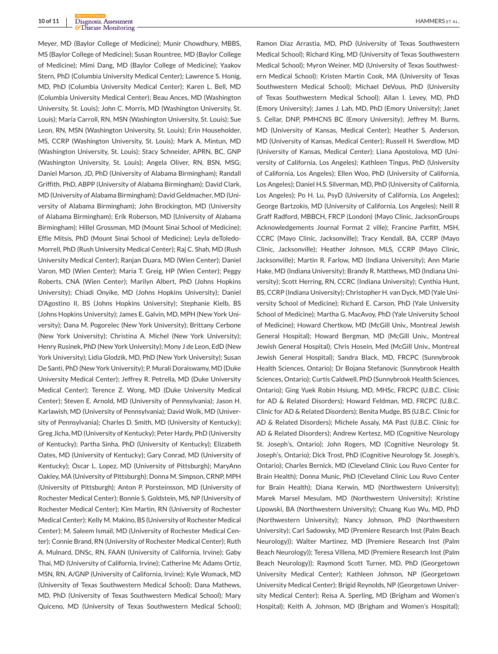Meyer, MD (Baylor College of Medicine); Munir Chowdhury, MBBS, MS (Baylor College of Medicine); Susan Rountree, MD (Baylor College of Medicine); Mimi Dang, MD (Baylor College of Medicine); Yaakov Stern, PhD (Columbia University Medical Center); Lawrence S. Honig, MD, PhD (Columbia University Medical Center); Karen L. Bell, MD (Columbia University Medical Center); Beau Ances, MD (Washington University, St. Louis); John C. Morris, MD (Washington University, St. Louis); Maria Carroll, RN, MSN (Washington University, St. Louis); Sue Leon, RN, MSN (Washington University, St. Louis); Erin Householder, MS, CCRP (Washington University, St. Louis); Mark A. Mintun, MD (Washington University, St. Louis); Stacy Schneider, APRN, BC, GNP (Washington University, St. Louis); Angela Oliver, RN, BSN, MSG; Daniel Marson, JD, PhD (University of Alabama Birmingham); Randall Griffith, PhD, ABPP (University of Alabama Birmingham); David Clark, MD (University of Alabama Birmingham); David Geldmacher, MD (University of Alabama Birmingham); John Brockington, MD (University of Alabama Birmingham); Erik Roberson, MD (University of Alabama Birmingham); Hillel Grossman, MD (Mount Sinai School of Medicine); Effie Mitsis, PhD (Mount Sinai School of Medicine); Leyla deToledo-Morrell, PhD (Rush University Medical Center); Raj C. Shah, MD (Rush University Medical Center); Ranjan Duara, MD (Wien Center); Daniel Varon, MD (Wien Center); Maria T. Greig, HP (Wien Center); Peggy Roberts, CNA (Wien Center); Marilyn Albert, PhD (Johns Hopkins University); Chiadi Onyike, MD (Johns Hopkins University); Daniel D'Agostino II, BS (Johns Hopkins University); Stephanie Kielb, BS (Johns Hopkins University); James E. Galvin, MD, MPH (New York University); Dana M. Pogorelec (New York University); Brittany Cerbone (New York University); Christina A. Michel (New York University); Henry Rusinek, PhD (New York University); Mony J de Leon, EdD (New York University); Lidia Glodzik, MD, PhD (New York University); Susan De Santi, PhD (New York University); P. Murali Doraiswamy, MD (Duke University Medical Center); Jeffrey R. Petrella, MD (Duke University Medical Center); Terence Z. Wong, MD (Duke University Medical Center); Steven E. Arnold, MD (University of Pennsylvania); Jason H. Karlawish, MD (University of Pennsylvania); David Wolk, MD (University of Pennsylvania); Charles D. Smith, MD (University of Kentucky); Greg Jicha, MD (University of Kentucky); Peter Hardy, PhD (University of Kentucky); Partha Sinha, PhD (University of Kentucky); Elizabeth Oates, MD (University of Kentucky); Gary Conrad, MD (University of Kentucky); Oscar L. Lopez, MD (University of Pittsburgh); MaryAnn Oakley, MA (University of Pittsburgh); Donna M. Simpson, CRNP, MPH (University of Pittsburgh); Anton P. Porsteinsson, MD (University of Rochester Medical Center); Bonnie S. Goldstein, MS, NP (University of Rochester Medical Center); Kim Martin, RN (University of Rochester Medical Center); Kelly M. Makino, BS (University of Rochester Medical Center); M. Saleem Ismail, MD (University of Rochester Medical Center); Connie Brand, RN (University of Rochester Medical Center); Ruth A. Mulnard, DNSc, RN, FAAN (University of California, Irvine); Gaby Thai, MD (University of California, Irvine); Catherine Mc Adams Ortiz, MSN, RN, A/GNP (University of California, Irvine); Kyle Womack, MD (University of Texas Southwestern Medical School); Dana Mathews, MD, PhD (University of Texas Southwestern Medical School); Mary Quiceno, MD (University of Texas Southwestern Medical School);

Ramon Diaz Arrastia, MD, PhD (University of Texas Southwestern Medical School); Richard King, MD (University of Texas Southwestern Medical School); Myron Weiner, MD (University of Texas Southwestern Medical School); Kristen Martin Cook, MA (University of Texas Southwestern Medical School); Michael DeVous, PhD (University of Texas Southwestern Medical School); Allan I. Levey, MD, PhD (Emory University); James J. Lah, MD, PhD (Emory University); Janet S. Cellar, DNP, PMHCNS BC (Emory University); Jeffrey M. Burns, MD (University of Kansas, Medical Center); Heather S. Anderson, MD (University of Kansas, Medical Center); Russell H. Swerdlow, MD (University of Kansas, Medical Center); Liana Apostolova, MD (University of California, Los Angeles); Kathleen Tingus, PhD (University of California, Los Angeles); Ellen Woo, PhD (University of California, Los Angeles); Daniel H.S. Silverman, MD, PhD (University of California, Los Angeles); Po H. Lu, PsyD (University of California, Los Angeles); George Bartzokis, MD (University of California, Los Angeles); Neill R Graff Radford, MBBCH, FRCP (London) (Mayo Clinic, JacksonGroups Acknowledgements Journal Format 2 ville); Francine Parfitt, MSH, CCRC (Mayo Clinic, Jacksonville); Tracy Kendall, BA, CCRP (Mayo Clinic, Jacksonville); Heather Johnson, MLS, CCRP (Mayo Clinic, Jacksonville); Martin R. Farlow, MD (Indiana University); Ann Marie Hake, MD (Indiana University); Brandy R. Matthews, MD (Indiana University); Scott Herring, RN, CCRC (Indiana University); Cynthia Hunt, BS, CCRP (Indiana University); Christopher H. van Dyck, MD (Yale University School of Medicine); Richard E. Carson, PhD (Yale University School of Medicine); Martha G. MacAvoy, PhD (Yale University School of Medicine); Howard Chertkow, MD (McGill Univ., Montreal Jewish General Hospital); Howard Bergman, MD (McGill Univ., Montreal Jewish General Hospital); Chris Hosein, Med (McGill Univ., Montreal Jewish General Hospital); Sandra Black, MD, FRCPC (Sunnybrook Health Sciences, Ontario); Dr Bojana Stefanovic (Sunnybrook Health Sciences, Ontario); Curtis Caldwell, PhD (Sunnybrook Health Sciences, Ontario); Ging Yuek Robin Hsiung, MD, MHSc, FRCPC (U.B.C. Clinic for AD & Related Disorders); Howard Feldman, MD, FRCPC (U.B.C. Clinic for AD & Related Disorders); Benita Mudge, BS (U.B.C. Clinic for AD & Related Disorders); Michele Assaly, MA Past (U.B.C. Clinic for AD & Related Disorders); Andrew Kertesz, MD (Cognitive Neurology St. Joseph's, Ontario); John Rogers, MD (Cognitive Neurology St. Joseph's, Ontario); Dick Trost, PhD (Cognitive Neurology St. Joseph's, Ontario); Charles Bernick, MD (Cleveland Clinic Lou Ruvo Center for Brain Health); Donna Munic, PhD (Cleveland Clinic Lou Ruvo Center for Brain Health); Diana Kerwin, MD (Northwestern University); Marek Marsel Mesulam, MD (Northwestern University); Kristine Lipowski, BA (Northwestern University); Chuang Kuo Wu, MD, PhD (Northwestern University); Nancy Johnson, PhD (Northwestern University); Carl Sadowsky, MD (Premiere Research Inst (Palm Beach Neurology)); Walter Martinez, MD (Premiere Research Inst (Palm Beach Neurology)); Teresa Villena, MD (Premiere Research Inst (Palm Beach Neurology)); Raymond Scott Turner, MD, PhD (Georgetown University Medical Center); Kathleen Johnson, NP (Georgetown University Medical Center); Brigid Reynolds, NP (Georgetown University Medical Center); Reisa A. Sperling, MD (Brigham and Women's Hospital); Keith A. Johnson, MD (Brigham and Women's Hospital);